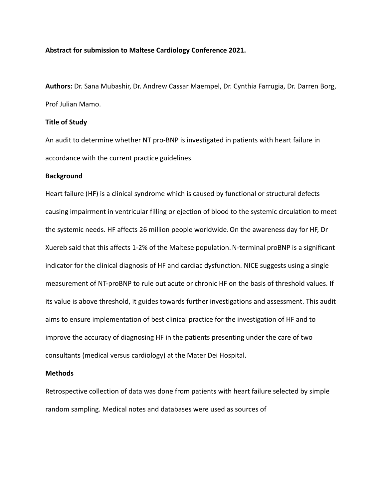## **Abstract for submission to Maltese Cardiology Conference 2021.**

**Authors:** Dr. Sana Mubashir, Dr. Andrew Cassar Maempel, Dr. Cynthia Farrugia, Dr. Darren Borg, Prof Julian Mamo.

# **Title of Study**

An audit to determine whether NT pro-BNP is investigated in patients with heart failure in accordance with the current practice guidelines.

## **Background**

Heart failure (HF) is a clinical syndrome which is caused by functional or structural defects causing impairment in ventricular filling or ejection of blood to the systemic circulation to meet the systemic needs. HF affects 26 million people worldwide.On the awareness day for HF, Dr Xuereb said that this affects 1-2% of the Maltese population. N-terminal proBNP is a significant indicator for the clinical diagnosis of HF and cardiac dysfunction. NICE suggests using a single measurement of NT-proBNP to rule out acute or chronic HF on the basis of threshold values. If its value is above threshold, it guides towards further investigations and assessment. This audit aims to ensure implementation of best clinical practice for the investigation of HF and to improve the accuracy of diagnosing HF in the patients presenting under the care of two consultants (medical versus cardiology) at the Mater Dei Hospital.

## **Methods**

Retrospective collection of data was done from patients with heart failure selected by simple random sampling. Medical notes and databases were used as sources of